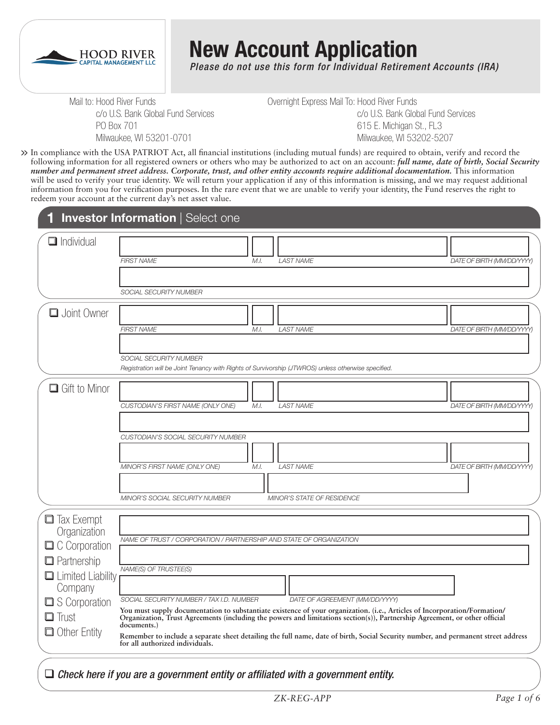

# **New Account Application**

*Please do not use this form for Individual Retirement Accounts (IRA)*

Mail to: Hood River Funds c/o U.S. Bank Global Fund Services PO Box 701 Milwaukee, WI 53201-0701

Overnight Express Mail To: Hood River Funds c/o U.S. Bank Global Fund Services 615 E. Michigan St., FL3 Milwaukee, WI 53202-5207

In compliance with the USA PATRIOT Act, all financial institutions (including mutual funds) are required to obtain, verify and record the **>>** following information for all registered owners or others who may be authorized to act on an account: *full name, date of birth, Social Security number and permanent street address. Corporate, trust, and other entity accounts require additional documentation.* This information will be used to verify your true identity. We will return your application if any of this information is missing, and we may request additional information from you for verification purposes. In the rare event that we are unable to verify your identity, the Fund reserves the right to redeem your account at the current day's net asset value.

|                                                                                 | <b>Investor Information   Select one</b>                                                                                                                                                                                                                                                                        |
|---------------------------------------------------------------------------------|-----------------------------------------------------------------------------------------------------------------------------------------------------------------------------------------------------------------------------------------------------------------------------------------------------------------|
| Individual                                                                      | <b>FIRST NAME</b><br>M.I.<br><b>LAST NAME</b><br>DATE OF BIRTH (MM/DD/YYYY)                                                                                                                                                                                                                                     |
|                                                                                 | SOCIAL SECURITY NUMBER                                                                                                                                                                                                                                                                                          |
| <b>u</b> Joint Owner                                                            | <b>FIRST NAME</b><br><b>LAST NAME</b><br>DATE OF BIRTH (MM/DD/YYYY)<br>M.I.                                                                                                                                                                                                                                     |
|                                                                                 | SOCIAL SECURITY NUMBER<br>Registration will be Joint Tenancy with Rights of Survivorship (JTWROS) unless otherwise specified.                                                                                                                                                                                   |
| $\Box$ Gift to Minor                                                            | <b>LAST NAME</b><br>CUSTODIAN'S FIRST NAME (ONLY ONE)<br>M.I.<br>DATE OF BIRTH (MM/DD/YYYY)                                                                                                                                                                                                                     |
|                                                                                 | <b>CUSTODIAN'S SOCIAL SECURITY NUMBER</b><br>MINOR'S FIRST NAME (ONLY ONE)<br>M.I.<br><b>LAST NAME</b><br>DATE OF BIRTH (MM/DD/YYYY)                                                                                                                                                                            |
|                                                                                 | MINOR'S SOCIAL SECURITY NUMBER<br>MINOR'S STATE OF RESIDENCE                                                                                                                                                                                                                                                    |
| $\Box$ Tax Exempt<br>Organization<br>$\Box$ C Corporation<br>$\Box$ Partnership | NAME OF TRUST / CORPORATION / PARTNERSHIP AND STATE OF ORGANIZATION<br>NAME(S) OF TRUSTEE(S)                                                                                                                                                                                                                    |
| $\Box$ Limited Liability<br>Company<br>S Corporation<br>$\Box$ Trust            | SOCIAL SECURITY NUMBER / TAX I.D. NUMBER<br>DATE OF AGREEMENT (MM/DD/YYYY)<br>You must supply documentation to substantiate existence of your organization. (i.e., Articles of Incorporation/Formation/<br>Organization, Trust Agreements (including the powers and limitations section(s)), Partnership Agreem |
| Other Entity                                                                    | documents.)<br>Remember to include a separate sheet detailing the full name, date of birth, Social Security number, and permanent street address<br>for all authorized individuals.                                                                                                                             |

#### *Check here if you are a government entity or affiliated with a government entity.*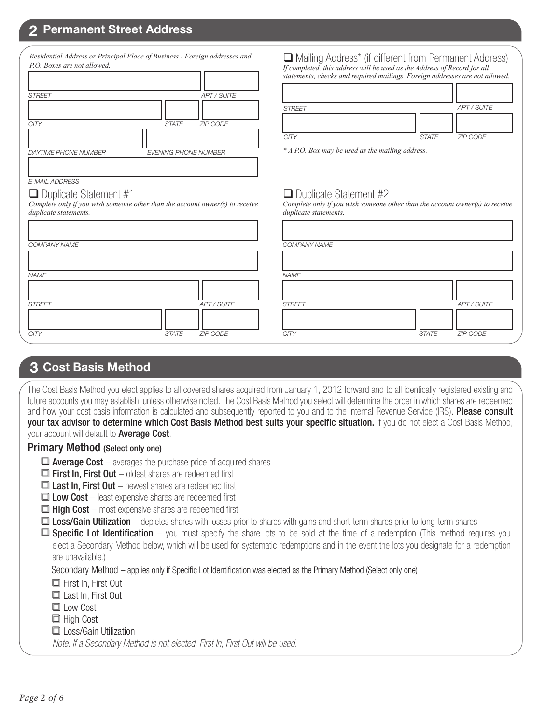#### **2 Permanent Street Address**

| P.O. Boxes are not allowed. |                                 |
|-----------------------------|---------------------------------|
| <b>STREET</b>               | <b>APT / SUITE</b>              |
|                             |                                 |
| <b>CITY</b>                 | <b>STATE</b><br><b>ZIP CODE</b> |
|                             |                                 |
| <b>DAYTIME PHONE NUMBER</b> | <b>EVENING PHONE NUMBER</b>     |

*Residential Address or Principal Place of Business - Foreign addresses and* 

 Mailing Address\* (if different from Permanent Address) *If completed, this address will be used as the Address of Record for all statements, checks and required mailings. Foreign addresses are not allowed.*

| <b>STREET</b> |              | APT / SUITE     |
|---------------|--------------|-----------------|
|               |              |                 |
| <b>CITY</b>   | <b>STATE</b> | <b>ZIP CODE</b> |

*\* A P.O. Box may be used as the mailing address.*

 $\Box$  Duplicate Statement #2

*duplicate statements.*

#### $\Box$  Duplicate Statement #1

*E-MAIL ADDRESS*

*Complete only if you wish someone other than the account owner(s) to receive duplicate statements.*

| COMPANY NAME  |              |             | <b>COMPA</b>  |
|---------------|--------------|-------------|---------------|
|               |              |             |               |
| <b>NAME</b>   |              |             | <b>NAME</b>   |
|               |              |             |               |
| <b>STREET</b> |              | APT / SUITE | <b>STREET</b> |
|               |              |             |               |
| <b>CITY</b>   | <b>STATE</b> | ZIP CODE    | <b>CITY</b>   |

|              |             | COMPANY NAME  |              |             |
|--------------|-------------|---------------|--------------|-------------|
|              |             |               |              |             |
|              |             | <b>NAME</b>   |              |             |
|              |             |               |              |             |
|              | APT / SUITE | <b>STREET</b> |              | APT / SUITE |
|              |             |               |              |             |
| <b>STATE</b> | ZIP CODE    | <b>CITY</b>   | <b>STATE</b> | ZIP CODE    |

*Complete only if you wish someone other than the account owner(s) to receive* 

#### **3 Cost Basis Method**

The Cost Basis Method you elect applies to all covered shares acquired from January 1, 2012 forward and to all identically registered existing and future accounts you may establish, unless otherwise noted. The Cost Basis Method you select will determine the order in which shares are redeemed and how your cost basis information is calculated and subsequently reported to you and to the Internal Revenue Service (IRS). Please consult your tax advisor to determine which Cost Basis Method best suits your specific situation. If you do not elect a Cost Basis Method, your account will default to **Average Cost**.

#### Primary Method (Select only one)

- $\Box$  Average Cost averages the purchase price of acquired shares
- $\Box$  First In, First Out oldest shares are redeemed first
- $\Box$  Last In, First Out newest shares are redeemed first
- $\Box$  Low Cost least expensive shares are redeemed first
- $\Box$  High Cost most expensive shares are redeemed first
- **□ Loss/Gain Utilization** depletes shares with losses prior to shares with gains and short-term shares prior to long-term shares
- $\Box$  **Specific Lot Identification** you must specify the share lots to be sold at the time of a redemption (This method requires you elect a Secondary Method below, which will be used for systematic redemptions and in the event the lots you designate for a redemption are unavailable.)

Secondary Method – applies only if Specific Lot Identification was elected as the Primary Method (Select only one)

First In, First Out

- Last In, First Out
- **□** Low Cost
- □ High Cost
- □ Loss/Gain Utilization

*Note: If a Secondary Method is not elected, First In, First Out will be used.*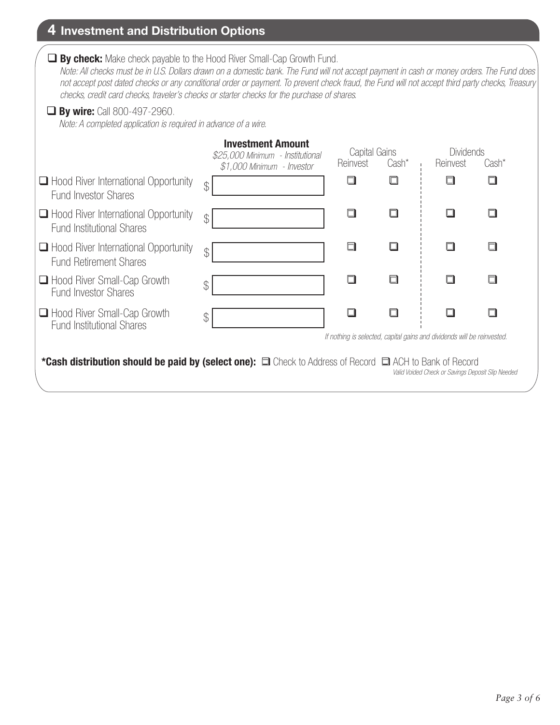## **4 Investment and Distribution Options**

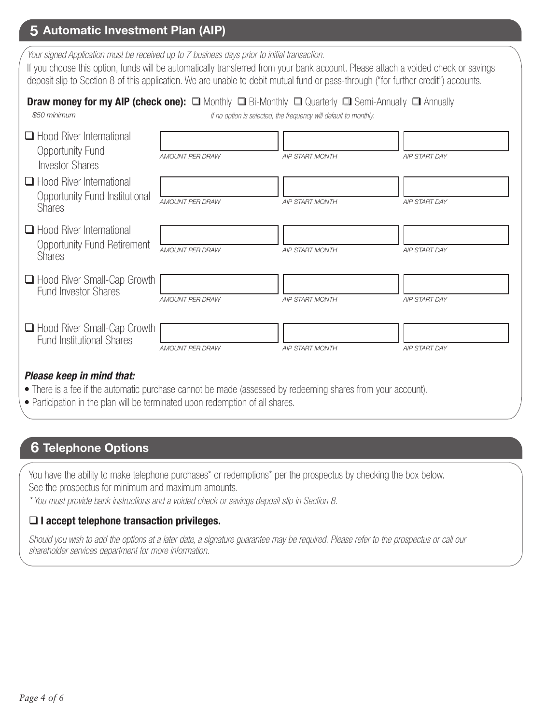## **5 Automatic Investment Plan (AIP)**

*Your signed Application must be received up to 7 business days prior to initial transaction.*

If you choose this option, funds will be automatically transferred from your bank account. Please attach a voided check or savings deposit slip to Section 8 of this application. We are unable to debit mutual fund or pass-through ("for further credit") accounts.

|              | <b>Draw money for my AIP (check one):</b> $\Box$ Monthly $\Box$ Bi-Monthly $\Box$ Quarterly $\Box$ Semi-Annually $\Box$ Annually |  |
|--------------|----------------------------------------------------------------------------------------------------------------------------------|--|
| \$50 minimum | If no option is selected, the frequency will default to monthly.                                                                 |  |

| $\Box$ Hood River International<br>Opportunity Fund<br><b>Investor Shares</b>          | <b>AMOUNT PER DRAW</b> | <b>AIP START MONTH</b>                                                                                                                                                                                                         | <b>AIP START DAY</b> |
|----------------------------------------------------------------------------------------|------------------------|--------------------------------------------------------------------------------------------------------------------------------------------------------------------------------------------------------------------------------|----------------------|
| $\Box$ Hood River International<br>Opportunity Fund Institutional<br><b>Shares</b>     | <b>AMOUNT PER DRAW</b> | <b>AIP START MONTH</b>                                                                                                                                                                                                         | <b>AIP START DAY</b> |
| $\Box$ Hood River International<br><b>Opportunity Fund Retirement</b><br><b>Shares</b> | <b>AMOUNT PER DRAW</b> | <b>AIP START MONTH</b>                                                                                                                                                                                                         | <b>AIP START DAY</b> |
| □ Hood River Small-Cap Growth<br><b>Fund Investor Shares</b>                           | <b>AMOUNT PER DRAW</b> | <b>AIP START MONTH</b>                                                                                                                                                                                                         | <b>AIP START DAY</b> |
| □ Hood River Small-Cap Growth<br><b>Fund Institutional Shares</b>                      | <b>AMOUNT PER DRAW</b> | <b>AIP START MONTH</b>                                                                                                                                                                                                         | <b>AIP START DAY</b> |
| Please keep in mind that:                                                              |                        | $\sim$ 1. The set of the set of the set of the set of the set of the set of the set of the set of the set of the set of the set of the set of the set of the set of the set of the set of the set of the set of the set of the |                      |

- There is a fee if the automatic purchase cannot be made (assessed by redeeming shares from your account).
- Participation in the plan will be terminated upon redemption of all shares.

### **6 Telephone Options**

You have the ability to make telephone purchases<sup>\*</sup> or redemptions<sup>\*</sup> per the prospectus by checking the box below. See the prospectus for minimum and maximum amounts.

*\* You must provide bank instructions and a voided check or savings deposit slip in Section 8.* 

#### **I accept telephone transaction privileges.**

*Should you wish to add the options at a later date, a signature guarantee may be required. Please refer to the prospectus or call our shareholder services department for more information.*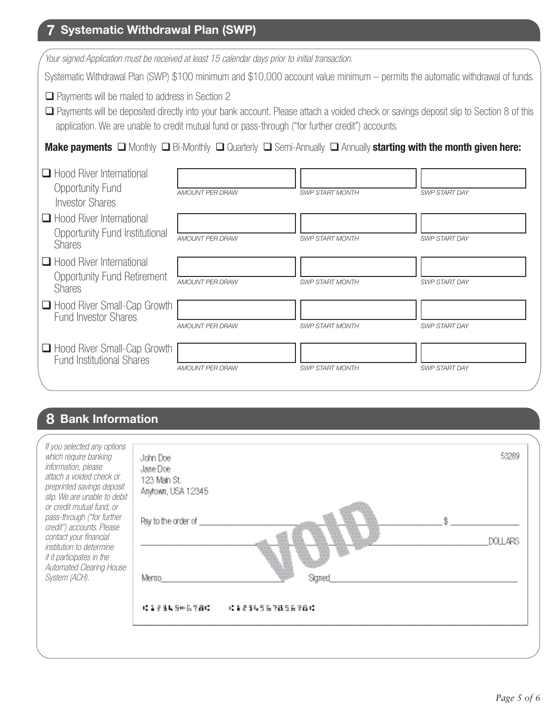## **7 Systematic Withdrawal Plan (SWP)**

| Your signed Application must be received at least 15 calendar days prior to initial transaction.                                                       |                        |                                                                                                   |                                                                                                                                         |
|--------------------------------------------------------------------------------------------------------------------------------------------------------|------------------------|---------------------------------------------------------------------------------------------------|-----------------------------------------------------------------------------------------------------------------------------------------|
|                                                                                                                                                        |                        |                                                                                                   | Systematic Withdrawal Plan (SWP) \$100 minimum and \$10,000 account value minimum – permits the automatic withdrawal of funds.          |
| $\Box$ Payments will be mailed to address in Section 2                                                                                                 |                        | application. We are unable to credit mutual fund or pass-through ("for further credit") accounts. | □ Payments will be deposited directly into your bank account. Please attach a voided check or savings deposit slip to Section 8 of this |
| <b>Make payments</b> $\Box$ Monthly $\Box$ Bi-Monthly $\Box$ Quarterly $\Box$ Semi-Annually $\Box$ Annually <b>starting with the month given here:</b> |                        |                                                                                                   |                                                                                                                                         |
| $\Box$ Hood River International<br>Opportunity Fund<br><b>Investor Shares</b>                                                                          | <b>AMOUNT PER DRAW</b> | <b>SWP START MONTH</b>                                                                            | <b>SWP START DAY</b>                                                                                                                    |
| $\Box$ Hood River International<br>Opportunity Fund Institutional<br><b>Shares</b>                                                                     | <b>AMOUNT PER DRAW</b> | <b>SWP START MONTH</b>                                                                            | SWP START DAY                                                                                                                           |
| Hood River International<br><b>Opportunity Fund Retirement</b><br><b>Shares</b>                                                                        | AMOUNT PER DRAW        | <b>SWP START MONTH</b>                                                                            | <b>SWP START DAY</b>                                                                                                                    |
| □ Hood River Small-Cap Growth<br><b>Fund Investor Shares</b>                                                                                           | <b>AMOUNT PER DRAW</b> | <b>SWP START MONTH</b>                                                                            | <b>SWP START DAY</b>                                                                                                                    |
| □ Hood River Small-Cap Growth<br><b>Fund Institutional Shares</b>                                                                                      | <b>AMOUNT PER DRAW</b> | <b>SWP START MONTH</b>                                                                            | <b>SWP START DAY</b>                                                                                                                    |

## **8 Bank Information**

| If you selected any options<br>which require banking<br>information, please<br>attach a voided check or<br>preprinted savings deposit<br>slip. We are unable to debit<br>or credit mutual fund, or<br>pass-through ("for further<br>credit") accounts. Please<br>contact your financial<br><i>institution to determine</i><br>if it participates in the<br>Automated Clearing House<br>System (ACH). | John Doe<br>Jane Doe<br>123 Main St.<br>Anytown, USA 12345<br>Pay to the order of<br>Merno<br>Sicrimed | 53289<br>DOLL 4PS |
|------------------------------------------------------------------------------------------------------------------------------------------------------------------------------------------------------------------------------------------------------------------------------------------------------------------------------------------------------------------------------------------------------|--------------------------------------------------------------------------------------------------------|-------------------|
|                                                                                                                                                                                                                                                                                                                                                                                                      | ( ) 2 2 3 4 5 0 6 7 8 17<br>: 1234567856781                                                            |                   |
|                                                                                                                                                                                                                                                                                                                                                                                                      |                                                                                                        |                   |